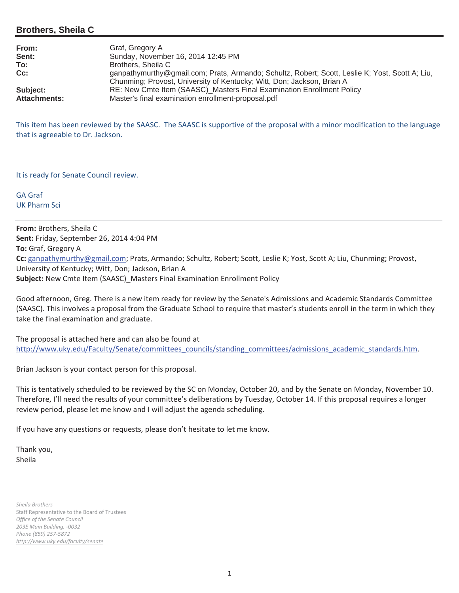## **Brothers, Sheila C**

| From:                           | Graf, Gregory A                                                                                                                                                           |
|---------------------------------|---------------------------------------------------------------------------------------------------------------------------------------------------------------------------|
| Sent:                           | Sunday, November 16, 2014 12:45 PM                                                                                                                                        |
| To:                             | Brothers, Sheila C                                                                                                                                                        |
| $Cc$ :                          | ganpathymurthy@gmail.com; Prats, Armando; Schultz, Robert; Scott, Leslie K; Yost, Scott A; Liu,<br>Chunming; Provost, University of Kentucky; Witt, Don; Jackson, Brian A |
| Subject:<br><b>Attachments:</b> | RE: New Cmte Item (SAASC)_Masters Final Examination Enrollment Policy<br>Master's final examination enrollment-proposal.pdf                                               |

This item has been reviewed by the SAASC. The SAASC is supportive of the proposal with a minor modification to the language that is agreeable to Dr. Jackson.

It is ready for Senate Council review.

GA Graf UK Pharm Sci

**From:** Brothers, Sheila C **Sent:** Friday, September 26, 2014 4:04 PM **To:** Graf, Gregory A **Cc:** ganpathymurthy@gmail.com; Prats, Armando; Schultz, Robert; Scott, Leslie K; Yost, Scott A; Liu, Chunming; Provost, University of Kentucky; Witt, Don; Jackson, Brian A **Subject:** New Cmte Item (SAASC)\_Masters Final Examination Enrollment Policy

Good afternoon, Greg. There is a new item ready for review by the Senate's Admissions and Academic Standards Committee (SAASC). This involves a proposal from the Graduate School to require that master's students enroll in the term in which they take the final examination and graduate.

The proposal is attached here and can also be found at http://www.uky.edu/Faculty/Senate/committees\_councils/standing\_committees/admissions\_academic\_standards.htm.

Brian Jackson is your contact person for this proposal.

This is tentatively scheduled to be reviewed by the SC on Monday, October 20, and by the Senate on Monday, November 10. Therefore, I'll need the results of your committee's deliberations by Tuesday, October 14. If this proposal requires a longer review period, please let me know and I will adjust the agenda scheduling.

If you have any questions or requests, please don't hesitate to let me know.

Thank you, Sheila

*Sheila Brothers* Staff Representative to the Board of Trustees *Office of the Senate Council 203E Main Building,Ͳ0032 Phone (859) 257Ͳ5872 http://www.uky.edu/faculty/senate*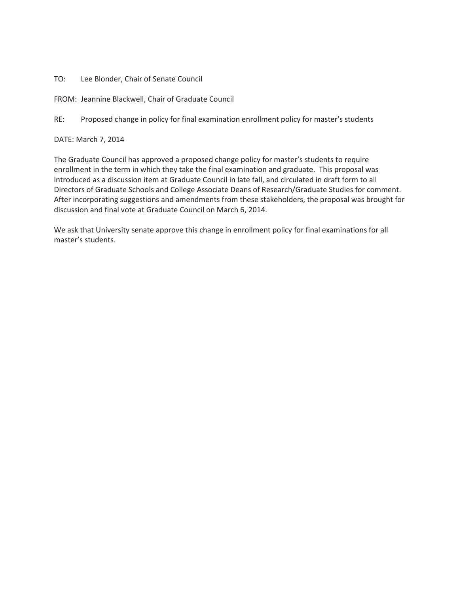TO: Lee Blonder, Chair of Senate Council

FROM: Jeannine Blackwell, Chair of Graduate Council

RE: Proposed change in policy for final examination enrollment policy for master's students

DATE: March 7, 2014

The Graduate Council has approved a proposed change policy for master's students to require enrollment in the term in which they take the final examination and graduate. This proposal was introduced as a discussion item at Graduate Council in late fall, and circulated in draft form to all Directors of Graduate Schools and College Associate Deans of Research/Graduate Studies for comment. After incorporating suggestions and amendments from these stakeholders, the proposal was brought for discussion and final vote at Graduate Council on March 6, 2014.

We ask that University senate approve this change in enrollment policy for final examinations for all master's students.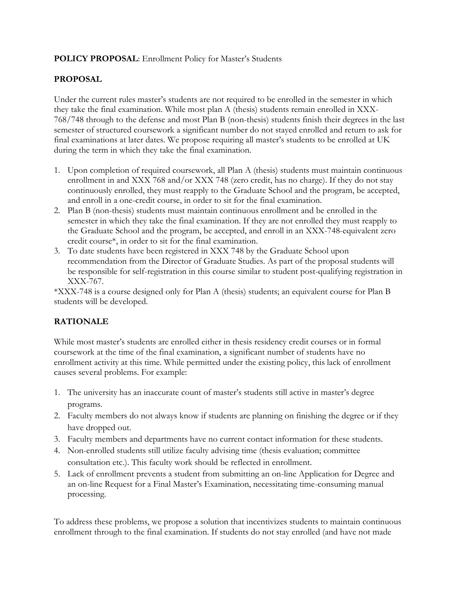## **POLICY PROPOSAL**: Enrollment Policy for Master's Students

## **PROPOSAL**

Under the current rules master's students are not required to be enrolled in the semester in which they take the final examination. While most plan A (thesis) students remain enrolled in XXX-768/748 through to the defense and most Plan B (non-thesis) students finish their degrees in the last semester of structured coursework a significant number do not stayed enrolled and return to ask for final examinations at later dates. We propose requiring all master's students to be enrolled at UK during the term in which they take the final examination.

- 1. Upon completion of required coursework, all Plan A (thesis) students must maintain continuous enrollment in and XXX 768 and/or XXX 748 (zero credit, has no charge). If they do not stay continuously enrolled, they must reapply to the Graduate School and the program, be accepted, and enroll in a one-credit course, in order to sit for the final examination.
- 2. Plan B (non-thesis) students must maintain continuous enrollment and be enrolled in the semester in which they take the final examination. If they are not enrolled they must reapply to the Graduate School and the program, be accepted, and enroll in an XXX-748-equivalent zero credit course\*, in order to sit for the final examination.
- 3. To date students have been registered in XXX 748 by the Graduate School upon recommendation from the Director of Graduate Studies. As part of the proposal students will be responsible for self-registration in this course similar to student post-qualifying registration in XXX-767.

\*XXX-748 is a course designed only for Plan A (thesis) students; an equivalent course for Plan B students will be developed.

## **RATIONALE**

While most master's students are enrolled either in thesis residency credit courses or in formal coursework at the time of the final examination, a significant number of students have no enrollment activity at this time. While permitted under the existing policy, this lack of enrollment causes several problems. For example:

- 1. The university has an inaccurate count of master's students still active in master's degree programs.
- 2. Faculty members do not always know if students are planning on finishing the degree or if they have dropped out.
- 3. Faculty members and departments have no current contact information for these students.
- 4. Non-enrolled students still utilize faculty advising time (thesis evaluation; committee consultation etc.). This faculty work should be reflected in enrollment.
- 5. Lack of enrollment prevents a student from submitting an on-line Application for Degree and an on-line Request for a Final Master's Examination, necessitating time-consuming manual processing.

To address these problems, we propose a solution that incentivizes students to maintain continuous enrollment through to the final examination. If students do not stay enrolled (and have not made